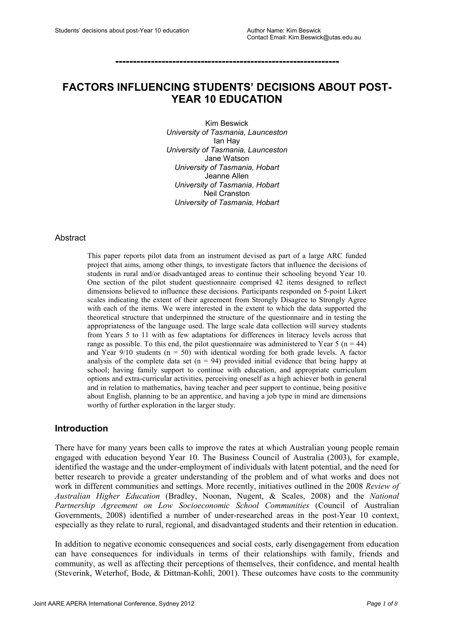**---------------------------------------------------------------**

# **FACTORS INFLUENCING STUDENTS' DECISIONS ABOUT POST-YEAR 10 EDUCATION**

Kim Beswick *University of Tasmania, Launceston* Ian Hay *University of Tasmania, Launceston* Jane Watson *University of Tasmania, Hobart* Jeanne Allen *University of Tasmania, Hobart* Neil Cranston *University of Tasmania, Hobart*

#### Abstract

This paper reports pilot data from an instrument devised as part of a large ARC funded project that aims, among other things, to investigate factors that influence the decisions of students in rural and/or disadvantaged areas to continue their schooling beyond Year 10. One section of the pilot student questionnaire comprised 42 items designed to reflect dimensions believed to influence these decisions. Participants responded on 5-point Likert scales indicating the extent of their agreement from Strongly Disagree to Strongly Agree with each of the items. We were interested in the extent to which the data supported the theoretical structure that underpinned the structure of the questionnaire and in testing the appropriateness of the language used. The large scale data collection will survey students from Years 5 to 11 with as few adaptations for differences in literacy levels across that range as possible. To this end, the pilot questionnaire was administered to Year 5 ( $n = 44$ ) and Year  $9/10$  students ( $n = 50$ ) with identical wording for both grade levels. A factor analysis of the complete data set  $(n = 94)$  provided initial evidence that being happy at school; having family support to continue with education, and appropriate curriculum options and extra-curricular activities, perceiving oneself as a high achiever both in general and in relation to mathematics, having teacher and peer support to continue, being positive about English, planning to be an apprentice, and having a job type in mind are dimensions worthy of further exploration in the larger study.

#### **Introduction**

There have for many years been calls to improve the rates at which Australian young people remain engaged with education beyond Year 10. The Business Council of Australia (2003), for example, identified the wastage and the under-employment of individuals with latent potential, and the need for better research to provide a greater understanding of the problem and of what works and does not work in different communities and settings. More recently, initiatives outlined in the 2008 *Review of Australian Higher Education* (Bradley, Noonan, Nugent, & Scales, 2008) and the *National Partnership Agreement on Low Socioeconomic School Communities* (Council of Australian Governments, 2008) identified a number of under-researched areas in the post-Year 10 context, especially as they relate to rural, regional, and disadvantaged students and their retention in education.

In addition to negative economic consequences and social costs, early disengagement from education can have consequences for individuals in terms of their relationships with family, friends and community, as well as affecting their perceptions of themselves, their confidence, and mental health (Steverink, Weterhof, Bode, & Dittman-Kohli, 2001). These outcomes have costs to the community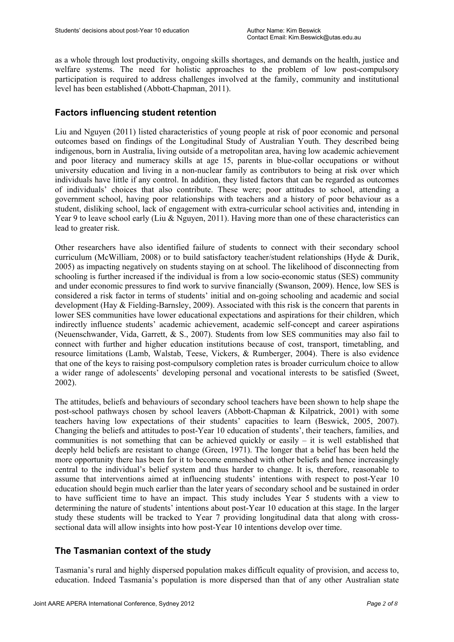as a whole through lost productivity, ongoing skills shortages, and demands on the health, justice and welfare systems. The need for holistic approaches to the problem of low post-compulsory participation is required to address challenges involved at the family, community and institutional level has been established (Abbott-Chapman, 2011).

## **Factors influencing student retention**

Liu and Nguyen (2011) listed characteristics of young people at risk of poor economic and personal outcomes based on findings of the Longitudinal Study of Australian Youth. They described being indigenous, born in Australia, living outside of a metropolitan area, having low academic achievement and poor literacy and numeracy skills at age 15, parents in blue-collar occupations or without university education and living in a non-nuclear family as contributors to being at risk over which individuals have little if any control. In addition, they listed factors that can be regarded as outcomes of individuals' choices that also contribute. These were; poor attitudes to school, attending a government school, having poor relationships with teachers and a history of poor behaviour as a student, disliking school, lack of engagement with extra-curricular school activities and, intending in Year 9 to leave school early (Liu & Nguyen, 2011). Having more than one of these characteristics can lead to greater risk.

Other researchers have also identified failure of students to connect with their secondary school curriculum (McWilliam, 2008) or to build satisfactory teacher/student relationships (Hyde & Durik, 2005) as impacting negatively on students staying on at school. The likelihood of disconnecting from schooling is further increased if the individual is from a low socio-economic status (SES) community and under economic pressures to find work to survive financially (Swanson, 2009). Hence, low SES is considered a risk factor in terms of students' initial and on-going schooling and academic and social development (Hay & Fielding-Barnsley, 2009). Associated with this risk is the concern that parents in lower SES communities have lower educational expectations and aspirations for their children, which indirectly influence students' academic achievement, academic self-concept and career aspirations (Neuenschwander, Vida, Garrett, & S., 2007). Students from low SES communities may also fail to connect with further and higher education institutions because of cost, transport, timetabling, and resource limitations (Lamb, Walstab, Teese, Vickers, & Rumberger, 2004). There is also evidence that one of the keys to raising post-compulsory completion rates is broader curriculum choice to allow a wider range of adolescents' developing personal and vocational interests to be satisfied (Sweet, 2002).

The attitudes, beliefs and behaviours of secondary school teachers have been shown to help shape the post-school pathways chosen by school leavers (Abbott-Chapman & Kilpatrick, 2001) with some teachers having low expectations of their students' capacities to learn (Beswick, 2005, 2007). Changing the beliefs and attitudes to post-Year 10 education of students', their teachers, families, and communities is not something that can be achieved quickly or easily – it is well established that deeply held beliefs are resistant to change (Green, 1971). The longer that a belief has been held the more opportunity there has been for it to become enmeshed with other beliefs and hence increasingly central to the individual's belief system and thus harder to change. It is, therefore, reasonable to assume that interventions aimed at influencing students' intentions with respect to post-Year 10 education should begin much earlier than the later years of secondary school and be sustained in order to have sufficient time to have an impact. This study includes Year 5 students with a view to determining the nature of students' intentions about post-Year 10 education at this stage. In the larger study these students will be tracked to Year 7 providing longitudinal data that along with crosssectional data will allow insights into how post-Year 10 intentions develop over time.

## **The Tasmanian context of the study**

Tasmania's rural and highly dispersed population makes difficult equality of provision, and access to, education. Indeed Tasmania's population is more dispersed than that of any other Australian state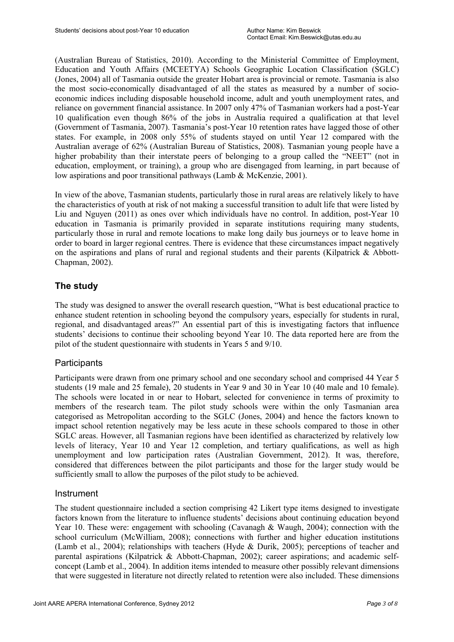(Australian Bureau of Statistics, 2010). According to the Ministerial Committee of Employment, Education and Youth Affairs (MCEETYA) Schools Geographic Location Classification (SGLC) (Jones, 2004) all of Tasmania outside the greater Hobart area is provincial or remote. Tasmania is also the most socio-economically disadvantaged of all the states as measured by a number of socioeconomic indices including disposable household income, adult and youth unemployment rates, and reliance on government financial assistance. In 2007 only 47% of Tasmanian workers had a post-Year 10 qualification even though 86% of the jobs in Australia required a qualification at that level (Government of Tasmania, 2007). Tasmania's post-Year 10 retention rates have lagged those of other states. For example, in 2008 only 55% of students stayed on until Year 12 compared with the Australian average of 62% (Australian Bureau of Statistics, 2008). Tasmanian young people have a higher probability than their interstate peers of belonging to a group called the "NEET" (not in education, employment, or training), a group who are disengaged from learning, in part because of low aspirations and poor transitional pathways (Lamb & McKenzie, 2001).

In view of the above, Tasmanian students, particularly those in rural areas are relatively likely to have the characteristics of youth at risk of not making a successful transition to adult life that were listed by Liu and Nguyen (2011) as ones over which individuals have no control. In addition, post-Year 10 education in Tasmania is primarily provided in separate institutions requiring many students, particularly those in rural and remote locations to make long daily bus journeys or to leave home in order to board in larger regional centres. There is evidence that these circumstances impact negatively on the aspirations and plans of rural and regional students and their parents (Kilpatrick  $\&$  Abbott-Chapman, 2002).

# **The study**

The study was designed to answer the overall research question, "What is best educational practice to enhance student retention in schooling beyond the compulsory years, especially for students in rural, regional, and disadvantaged areas?" An essential part of this is investigating factors that influence students' decisions to continue their schooling beyond Year 10. The data reported here are from the pilot of the student questionnaire with students in Years 5 and 9/10.

## **Participants**

Participants were drawn from one primary school and one secondary school and comprised 44 Year 5 students (19 male and 25 female), 20 students in Year 9 and 30 in Year 10 (40 male and 10 female). The schools were located in or near to Hobart, selected for convenience in terms of proximity to members of the research team. The pilot study schools were within the only Tasmanian area categorised as Metropolitan according to the SGLC (Jones, 2004) and hence the factors known to impact school retention negatively may be less acute in these schools compared to those in other SGLC areas. However, all Tasmanian regions have been identified as characterized by relatively low levels of literacy, Year 10 and Year 12 completion, and tertiary qualifications, as well as high unemployment and low participation rates (Australian Government, 2012). It was, therefore, considered that differences between the pilot participants and those for the larger study would be sufficiently small to allow the purposes of the pilot study to be achieved.

## Instrument

The student questionnaire included a section comprising 42 Likert type items designed to investigate factors known from the literature to influence students' decisions about continuing education beyond Year 10. These were: engagement with schooling (Cavanagh & Waugh, 2004); connection with the school curriculum (McWilliam, 2008); connections with further and higher education institutions (Lamb et al., 2004); relationships with teachers (Hyde & Durik, 2005); perceptions of teacher and parental aspirations (Kilpatrick & Abbott-Chapman, 2002); career aspirations; and academic selfconcept (Lamb et al., 2004). In addition items intended to measure other possibly relevant dimensions that were suggested in literature not directly related to retention were also included. These dimensions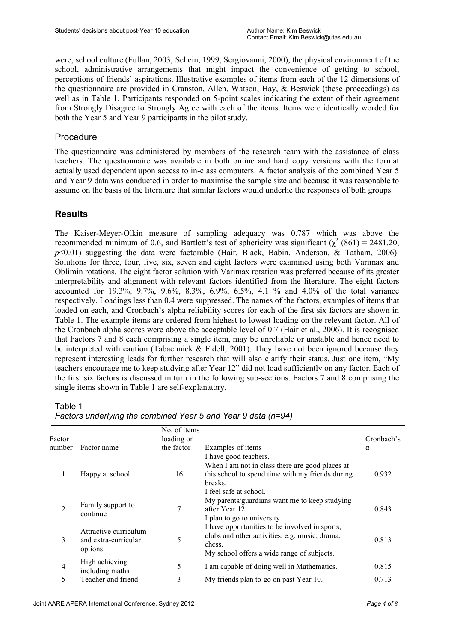were; school culture (Fullan, 2003; Schein, 1999; Sergiovanni, 2000), the physical environment of the school, administrative arrangements that might impact the convenience of getting to school, perceptions of friends' aspirations. Illustrative examples of items from each of the 12 dimensions of the questionnaire are provided in Cranston, Allen, Watson, Hay, & Beswick (these proceedings) as well as in Table 1. Participants responded on 5-point scales indicating the extent of their agreement from Strongly Disagree to Strongly Agree with each of the items. Items were identically worded for both the Year 5 and Year 9 participants in the pilot study.

### Procedure

The questionnaire was administered by members of the research team with the assistance of class teachers. The questionnaire was available in both online and hard copy versions with the format actually used dependent upon access to in-class computers. A factor analysis of the combined Year 5 and Year 9 data was conducted in order to maximise the sample size and because it was reasonable to assume on the basis of the literature that similar factors would underlie the responses of both groups.

## **Results**

The Kaiser-Meyer-Olkin measure of sampling adequacy was 0.787 which was above the recommended minimum of 0.6, and Bartlett's test of sphericity was significant ( $\chi^2$  (861) = 2481.20,  $p<0.01$ ) suggesting the data were factorable (Hair, Black, Babin, Anderson, & Tatham, 2006). Solutions for three, four, five, six, seven and eight factors were examined using both Varimax and Oblimin rotations. The eight factor solution with Varimax rotation was preferred because of its greater interpretability and alignment with relevant factors identified from the literature. The eight factors accounted for 19.3%, 9.7%, 9.6%, 8.3%, 6.9%, 6.5%, 4.1 % and 4.0% of the total variance respectively. Loadings less than 0.4 were suppressed. The names of the factors, examples of items that loaded on each, and Cronbach's alpha reliability scores for each of the first six factors are shown in Table 1. The example items are ordered from highest to lowest loading on the relevant factor. All of the Cronbach alpha scores were above the acceptable level of 0.7 (Hair et al., 2006). It is recognised that Factors 7 and 8 each comprising a single item, may be unreliable or unstable and hence need to be interpreted with caution (Tabachnick & Fidell, 2001). They have not been ignored because they represent interesting leads for further research that will also clarify their status. Just one item, "My teachers encourage me to keep studying after Year 12" did not load sufficiently on any factor. Each of the first six factors is discussed in turn in the following sub-sections. Factors 7 and 8 comprising the single items shown in Table 1 are self-explanatory.

Table 1

|                |                                                          | No. of items |                                                                                                                                                          |            |
|----------------|----------------------------------------------------------|--------------|----------------------------------------------------------------------------------------------------------------------------------------------------------|------------|
| Factor         |                                                          | loading on   |                                                                                                                                                          | Cronbach's |
| number         | Factor name                                              | the factor   | Examples of items                                                                                                                                        | $\alpha$   |
|                |                                                          |              | I have good teachers.<br>When I am not in class there are good places at                                                                                 |            |
|                | Happy at school                                          | 16           | this school to spend time with my friends during<br>breaks.<br>I feel safe at school.                                                                    | 0.932      |
| $\overline{2}$ | Family support to<br>continue                            | 7            | My parents/guardians want me to keep studying<br>after Year 12.<br>I plan to go to university.                                                           | 0.843      |
| 3              | Attractive curriculum<br>and extra-curricular<br>options | 5            | I have opportunities to be involved in sports,<br>clubs and other activities, e.g. music, drama,<br>chess.<br>My school offers a wide range of subjects. | 0.813      |
| $\overline{4}$ | High achieving<br>including maths                        | 5            | I am capable of doing well in Mathematics.                                                                                                               | 0.815      |
| 5              | Teacher and friend                                       | 3            | My friends plan to go on past Year 10.                                                                                                                   | 0.713      |

*Factors underlying the combined Year 5 and Year 9 data (n=94)*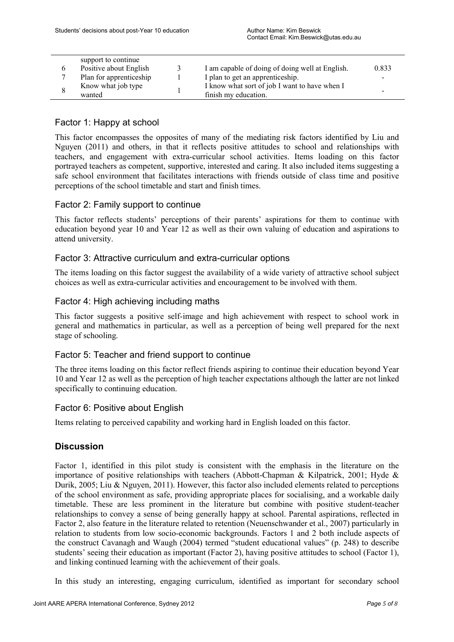|  | support to continue     |               |                                                 |                          |
|--|-------------------------|---------------|-------------------------------------------------|--------------------------|
|  | Positive about English  | $\mathcal{L}$ | I am capable of doing of doing well at English. | 0.833                    |
|  | Plan for apprenticeship |               | I plan to get an apprenticeship.                | $\overline{\phantom{0}}$ |
|  | Know what job type      |               | I know what sort of job I want to have when I   | $\overline{\phantom{0}}$ |
|  | wanted                  |               | finish my education.                            |                          |

## Factor 1: Happy at school

This factor encompasses the opposites of many of the mediating risk factors identified by Liu and Nguyen (2011) and others, in that it reflects positive attitudes to school and relationships with teachers, and engagement with extra-curricular school activities. Items loading on this factor portrayed teachers as competent, supportive, interested and caring. It also included items suggesting a safe school environment that facilitates interactions with friends outside of class time and positive perceptions of the school timetable and start and finish times.

### Factor 2: Family support to continue

This factor reflects students' perceptions of their parents' aspirations for them to continue with education beyond year 10 and Year 12 as well as their own valuing of education and aspirations to attend university.

### Factor 3: Attractive curriculum and extra-curricular options

The items loading on this factor suggest the availability of a wide variety of attractive school subject choices as well as extra-curricular activities and encouragement to be involved with them.

### Factor 4: High achieving including maths

This factor suggests a positive self-image and high achievement with respect to school work in general and mathematics in particular, as well as a perception of being well prepared for the next stage of schooling.

#### Factor 5: Teacher and friend support to continue

The three items loading on this factor reflect friends aspiring to continue their education beyond Year 10 and Year 12 as well as the perception of high teacher expectations although the latter are not linked specifically to continuing education.

#### Factor 6: Positive about English

Items relating to perceived capability and working hard in English loaded on this factor.

## **Discussion**

Factor 1, identified in this pilot study is consistent with the emphasis in the literature on the importance of positive relationships with teachers (Abbott-Chapman & Kilpatrick, 2001; Hyde & Durik, 2005; Liu & Nguyen, 2011). However, this factor also included elements related to perceptions of the school environment as safe, providing appropriate places for socialising, and a workable daily timetable. These are less prominent in the literature but combine with positive student-teacher relationships to convey a sense of being generally happy at school. Parental aspirations, reflected in Factor 2, also feature in the literature related to retention (Neuenschwander et al., 2007) particularly in relation to students from low socio-economic backgrounds. Factors 1 and 2 both include aspects of the construct Cavanagh and Waugh (2004) termed "student educational values" (p. 248) to describe students' seeing their education as important (Factor 2), having positive attitudes to school (Factor 1), and linking continued learning with the achievement of their goals.

In this study an interesting, engaging curriculum, identified as important for secondary school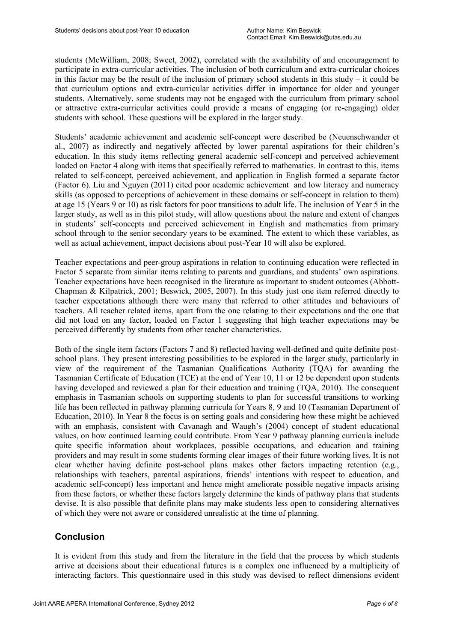students (McWilliam, 2008; Sweet, 2002), correlated with the availability of and encouragement to participate in extra-curricular activities. The inclusion of both curriculum and extra-curricular choices in this factor may be the result of the inclusion of primary school students in this study – it could be that curriculum options and extra-curricular activities differ in importance for older and younger students. Alternatively, some students may not be engaged with the curriculum from primary school or attractive extra-curricular activities could provide a means of engaging (or re-engaging) older students with school. These questions will be explored in the larger study.

Students' academic achievement and academic self-concept were described be (Neuenschwander et al., 2007) as indirectly and negatively affected by lower parental aspirations for their children's education. In this study items reflecting general academic self-concept and perceived achievement loaded on Factor 4 along with items that specifically referred to mathematics. In contrast to this, items related to self-concept, perceived achievement, and application in English formed a separate factor (Factor 6). Liu and Nguyen (2011) cited poor academic achievement and low literacy and numeracy skills (as opposed to perceptions of achievement in these domains or self-concept in relation to them) at age 15 (Years 9 or 10) as risk factors for poor transitions to adult life. The inclusion of Year 5 in the larger study, as well as in this pilot study, will allow questions about the nature and extent of changes in students' self-concepts and perceived achievement in English and mathematics from primary school through to the senior secondary years to be examined. The extent to which these variables, as well as actual achievement, impact decisions about post-Year 10 will also be explored.

Teacher expectations and peer-group aspirations in relation to continuing education were reflected in Factor 5 separate from similar items relating to parents and guardians, and students' own aspirations. Teacher expectations have been recognised in the literature as important to student outcomes (Abbott-Chapman & Kilpatrick, 2001; Beswick, 2005, 2007). In this study just one item referred directly to teacher expectations although there were many that referred to other attitudes and behaviours of teachers. All teacher related items, apart from the one relating to their expectations and the one that did not load on any factor, loaded on Factor 1 suggesting that high teacher expectations may be perceived differently by students from other teacher characteristics.

Both of the single item factors (Factors 7 and 8) reflected having well-defined and quite definite postschool plans. They present interesting possibilities to be explored in the larger study, particularly in view of the requirement of the Tasmanian Qualifications Authority (TQA) for awarding the Tasmanian Certificate of Education (TCE) at the end of Year 10, 11 or 12 be dependent upon students having developed and reviewed a plan for their education and training (TQA, 2010). The consequent emphasis in Tasmanian schools on supporting students to plan for successful transitions to working life has been reflected in pathway planning curricula for Years 8, 9 and 10 (Tasmanian Department of Education, 2010). In Year 8 the focus is on setting goals and considering how these might be achieved with an emphasis, consistent with Cavanagh and Waugh's (2004) concept of student educational values, on how continued learning could contribute. From Year 9 pathway planning curricula include quite specific information about workplaces, possible occupations, and education and training providers and may result in some students forming clear images of their future working lives. It is not clear whether having definite post-school plans makes other factors impacting retention (e.g., relationships with teachers, parental aspirations, friends' intentions with respect to education, and academic self-concept) less important and hence might ameliorate possible negative impacts arising from these factors, or whether these factors largely determine the kinds of pathway plans that students devise. It is also possible that definite plans may make students less open to considering alternatives of which they were not aware or considered unrealistic at the time of planning.

## **Conclusion**

It is evident from this study and from the literature in the field that the process by which students arrive at decisions about their educational futures is a complex one influenced by a multiplicity of interacting factors. This questionnaire used in this study was devised to reflect dimensions evident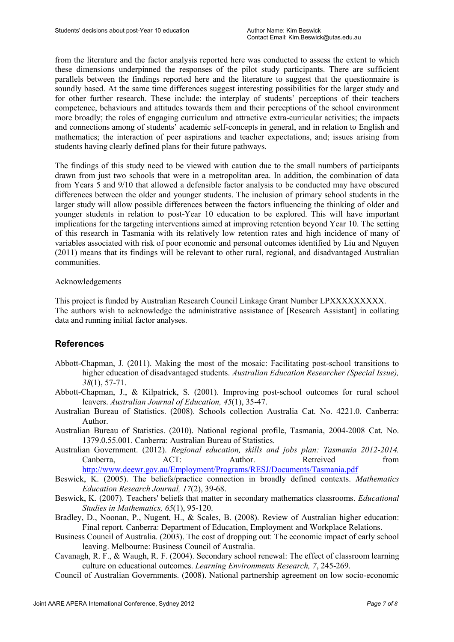from the literature and the factor analysis reported here was conducted to assess the extent to which these dimensions underpinned the responses of the pilot study participants. There are sufficient parallels between the findings reported here and the literature to suggest that the questionnaire is soundly based. At the same time differences suggest interesting possibilities for the larger study and for other further research. These include: the interplay of students' perceptions of their teachers competence, behaviours and attitudes towards them and their perceptions of the school environment more broadly; the roles of engaging curriculum and attractive extra-curricular activities; the impacts and connections among of students' academic self-concepts in general, and in relation to English and mathematics; the interaction of peer aspirations and teacher expectations, and; issues arising from students having clearly defined plans for their future pathways.

The findings of this study need to be viewed with caution due to the small numbers of participants drawn from just two schools that were in a metropolitan area. In addition, the combination of data from Years 5 and 9/10 that allowed a defensible factor analysis to be conducted may have obscured differences between the older and younger students. The inclusion of primary school students in the larger study will allow possible differences between the factors influencing the thinking of older and younger students in relation to post-Year 10 education to be explored. This will have important implications for the targeting interventions aimed at improving retention beyond Year 10. The setting of this research in Tasmania with its relatively low retention rates and high incidence of many of variables associated with risk of poor economic and personal outcomes identified by Liu and Nguyen (2011) means that its findings will be relevant to other rural, regional, and disadvantaged Australian communities.

#### Acknowledgements

This project is funded by Australian Research Council Linkage Grant Number LPXXXXXXXXX. The authors wish to acknowledge the administrative assistance of [Research Assistant] in collating data and running initial factor analyses.

## **References**

- Abbott-Chapman, J. (2011). Making the most of the mosaic: Facilitating post-school transitions to higher education of disadvantaged students. *Australian Education Researcher (Special Issue), 38*(1), 57-71.
- Abbott-Chapman, J., & Kilpatrick, S. (2001). Improving post-school outcomes for rural school leavers. *Australian Journal of Education, 45*(1), 35-47.
- Australian Bureau of Statistics. (2008). Schools collection Australia Cat. No. 4221.0. Canberra: Author.
- Australian Bureau of Statistics. (2010). National regional profile, Tasmania, 2004-2008 Cat. No. 1379.0.55.001. Canberra: Australian Bureau of Statistics.
- Australian Government. (2012). *Regional education, skills and jobs plan: Tasmania 2012-2014.*  Canberra, ACT: Author. Retreived from http://www.deewr.gov.au/Employment/Programs/RESJ/Documents/Tasmania.pdf
- Beswick, K. (2005). The beliefs/practice connection in broadly defined contexts. *Mathematics Education Research Journal, 17*(2), 39-68.
- Beswick, K. (2007). Teachers' beliefs that matter in secondary mathematics classrooms. *Educational Studies in Mathematics, 65*(1), 95-120.
- Bradley, D., Noonan, P., Nugent, H., & Scales, B. (2008). Review of Australian higher education: Final report. Canberra: Department of Education, Employment and Workplace Relations.
- Business Council of Australia. (2003). The cost of dropping out: The economic impact of early school leaving. Melbourne: Business Council of Australia.
- Cavanagh, R. F., & Waugh, R. F. (2004). Secondary school renewal: The effect of classroom learning culture on educational outcomes. *Learning Environments Research, 7*, 245-269.
- Council of Australian Governments. (2008). National partnership agreement on low socio-economic